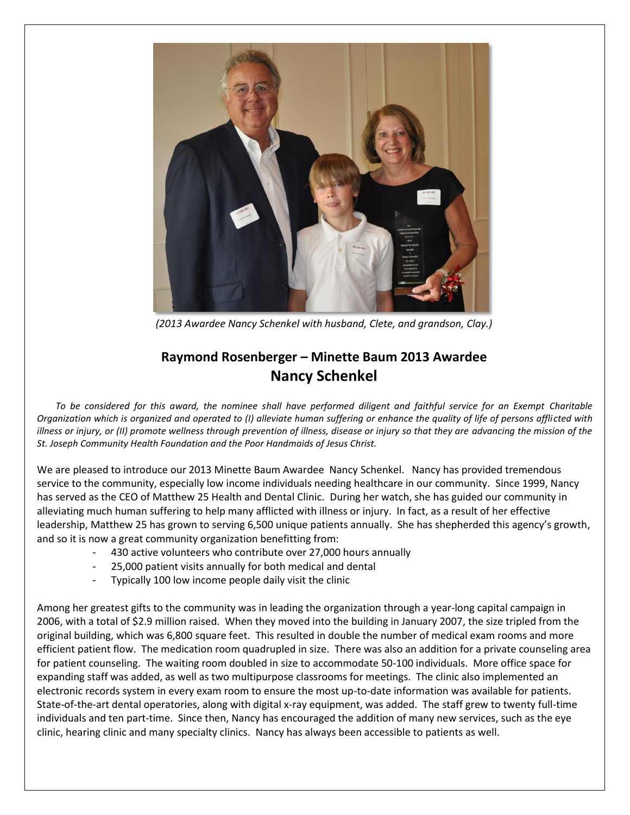

*(2013 Awardee Nancy Schenkel with husband, Clete, and grandson, Clay.)*

## **Raymond Rosenberger – Minette Baum 2013 Awardee Nancy Schenkel**

*To be considered for this award, the nominee shall have performed diligent and faithful service for an Exempt Charitable Organization which is organized and operated to (I) alleviate human suffering or enhance the quality of life of persons afflicted with illness or injury, or (II) promote wellness through prevention of illness, disease or injury so that they are advancing the mission of the St. Joseph Community Health Foundation and the Poor Handmaids of Jesus Christ.*

We are pleased to introduce our 2013 Minette Baum Awardee Nancy Schenkel. Nancy has provided tremendous service to the community, especially low income individuals needing healthcare in our community. Since 1999, Nancy has served as the CEO of Matthew 25 Health and Dental Clinic. During her watch, she has guided our community in alleviating much human suffering to help many afflicted with illness or injury. In fact, as a result of her effective leadership, Matthew 25 has grown to serving 6,500 unique patients annually. She has shepherded this agency's growth, and so it is now a great community organization benefitting from:

- 430 active volunteers who contribute over 27,000 hours annually
- 25,000 patient visits annually for both medical and dental
- Typically 100 low income people daily visit the clinic

Among her greatest gifts to the community was in leading the organization through a year-long capital campaign in 2006, with a total of \$2.9 million raised. When they moved into the building in January 2007, the size tripled from the original building, which was 6,800 square feet. This resulted in double the number of medical exam rooms and more efficient patient flow. The medication room quadrupled in size. There was also an addition for a private counseling area for patient counseling. The waiting room doubled in size to accommodate 50-100 individuals. More office space for expanding staff was added, as well as two multipurpose classrooms for meetings. The clinic also implemented an electronic records system in every exam room to ensure the most up-to-date information was available for patients. State-of-the-art dental operatories, along with digital x-ray equipment, was added. The staff grew to twenty full-time individuals and ten part-time. Since then, Nancy has encouraged the addition of many new services, such as the eye clinic, hearing clinic and many specialty clinics. Nancy has always been accessible to patients as well.